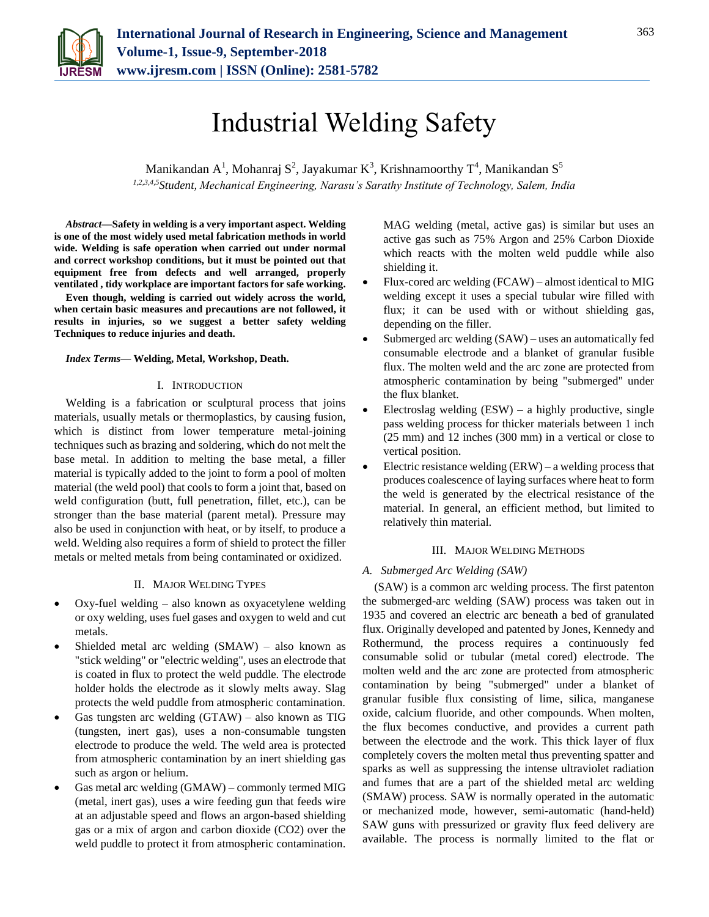

# Industrial Welding Safety

Manikandan A<sup>1</sup>, Mohanraj S<sup>2</sup>, Jayakumar K<sup>3</sup>, Krishnamoorthy T<sup>4</sup>, Manikandan S<sup>5</sup> *1,2,3,4,5Student, Mechanical Engineering, Narasu's Sarathy Institute of Technology, Salem, India*

*Abstract***—Safety in welding is a very important aspect. Welding is one of the most widely used metal fabrication methods in world wide. Welding is safe operation when carried out under normal and correct workshop conditions, but it must be pointed out that equipment free from defects and well arranged, properly ventilated , tidy workplace are important factors for safe working.**

**Even though, welding is carried out widely across the world, when certain basic measures and precautions are not followed, it results in injuries, so we suggest a better safety welding Techniques to reduce injuries and death.**

#### *Index Terms***— Welding, Metal, Workshop, Death.**

## I. INTRODUCTION

Welding is a fabrication or sculptural process that joins materials, usually metals or thermoplastics, by causing fusion, which is distinct from lower temperature metal-joining techniques such as brazing and soldering, which do not melt the base metal. In addition to melting the base metal, a filler material is typically added to the joint to form a pool of molten material (the weld pool) that cools to form a joint that, based on weld configuration (butt, full penetration, fillet, etc.), can be stronger than the base material (parent metal). Pressure may also be used in conjunction with heat, or by itself, to produce a weld. Welding also requires a form of shield to protect the filler metals or melted metals from being contaminated or oxidized.

#### II. MAJOR WELDING TYPES

- Oxy-fuel welding also known as oxyacetylene welding or oxy welding, uses fuel gases and oxygen to weld and cut metals.
- Shielded metal arc welding (SMAW) also known as "stick welding" or "electric welding", uses an electrode that is coated in flux to protect the weld puddle. The electrode holder holds the electrode as it slowly melts away. Slag protects the weld puddle from atmospheric contamination.
- Gas tungsten arc welding (GTAW) also known as TIG (tungsten, inert gas), uses a non-consumable tungsten electrode to produce the weld. The weld area is protected from atmospheric contamination by an inert shielding gas such as argon or helium.
- Gas metal arc welding (GMAW) commonly termed MIG (metal, inert gas), uses a wire feeding gun that feeds wire at an adjustable speed and flows an argon-based shielding gas or a mix of argon and carbon dioxide (CO2) over the weld puddle to protect it from atmospheric contamination.

MAG welding (metal, active gas) is similar but uses an active gas such as 75% Argon and 25% Carbon Dioxide which reacts with the molten weld puddle while also shielding it.

- Flux-cored arc welding (FCAW) almost identical to MIG welding except it uses a special tubular wire filled with flux; it can be used with or without shielding gas, depending on the filler.
- Submerged arc welding (SAW) uses an automatically fed consumable electrode and a blanket of granular fusible flux. The molten weld and the arc zone are protected from atmospheric contamination by being "submerged" under the flux blanket.
- Electroslag welding  $(ESW) a$  highly productive, single pass welding process for thicker materials between 1 inch (25 mm) and 12 inches (300 mm) in a vertical or close to vertical position.
- Electric resistance welding  $(ERW)$  a welding process that produces coalescence of laying surfaces where heat to form the weld is generated by the electrical resistance of the material. In general, an efficient method, but limited to relatively thin material.

#### III. MAJOR WELDING METHODS

#### *A. Submerged Arc Welding (SAW)*

(SAW) is a common arc welding process. The first patenton the submerged-arc welding (SAW) process was taken out in 1935 and covered an electric arc beneath a bed of granulated flux. Originally developed and patented by Jones, Kennedy and Rothermund, the process requires a continuously fed consumable solid or tubular (metal cored) electrode. The molten weld and the arc zone are protected from atmospheric contamination by being "submerged" under a blanket of granular fusible flux consisting of lime, silica, manganese oxide, calcium fluoride, and other compounds. When molten, the flux becomes conductive, and provides a current path between the electrode and the work. This thick layer of flux completely covers the molten metal thus preventing spatter and sparks as well as suppressing the intense ultraviolet radiation and fumes that are a part of the shielded metal arc welding (SMAW) process. SAW is normally operated in the automatic or mechanized mode, however, semi-automatic (hand-held) SAW guns with pressurized or gravity flux feed delivery are available. The process is normally limited to the flat or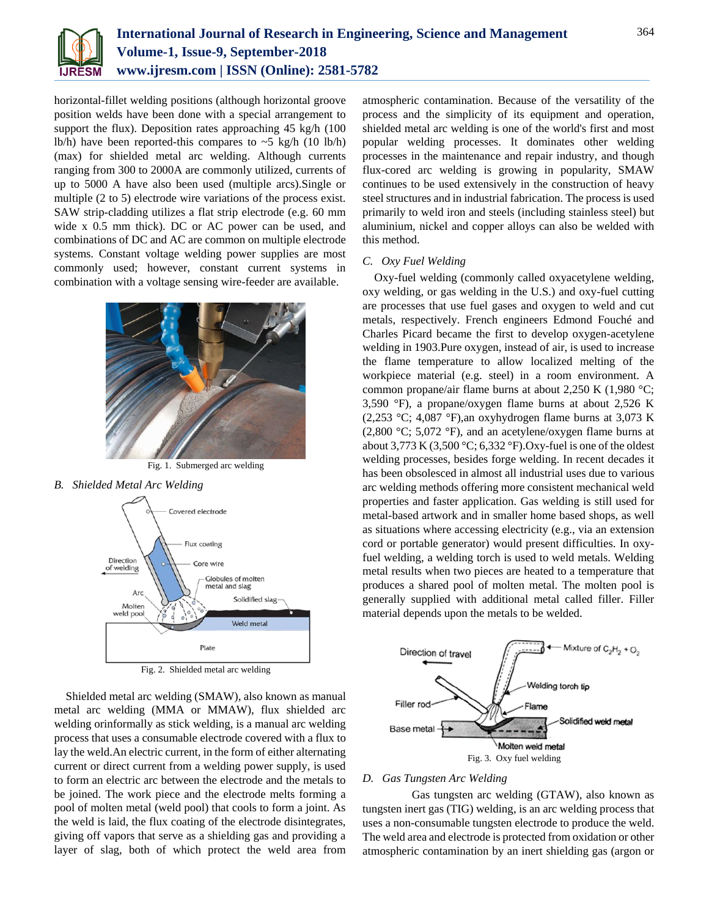

horizontal-fillet welding positions (although horizontal groove position welds have been done with a special arrangement to support the flux). Deposition rates approaching 45 kg/h (100) lb/h) have been reported-this compares to  $\sim$  5 kg/h (10 lb/h) (max) for shielded metal arc welding. Although currents ranging from 300 to 2000A are commonly utilized, currents of up to 5000 A have also been used (multiple arcs).Single or multiple (2 to 5) electrode wire variations of the process exist. SAW strip-cladding utilizes a flat strip electrode (e.g. 60 mm wide x 0.5 mm thick). DC or AC power can be used, and combinations of DC and AC are common on multiple electrode systems. Constant voltage welding power supplies are most commonly used; however, constant current systems in combination with a voltage sensing wire-feeder are available.



Fig. 1. Submerged arc welding

*B. Shielded Metal Arc Welding*



Fig. 2. Shielded metal arc welding

Shielded metal arc welding (SMAW), also known as manual metal arc welding (MMA or MMAW), flux shielded arc welding orinformally as stick welding, is a manual arc welding process that uses a consumable electrode covered with a flux to lay the weld.An electric current, in the form of either alternating current or direct current from a welding power supply, is used to form an electric arc between the electrode and the metals to be joined. The work piece and the electrode melts forming a pool of molten metal (weld pool) that cools to form a joint. As the weld is laid, the flux coating of the electrode disintegrates, giving off vapors that serve as a shielding gas and providing a layer of slag, both of which protect the weld area from

atmospheric contamination. Because of the versatility of the process and the simplicity of its equipment and operation, shielded metal arc welding is one of the world's first and most popular welding processes. It dominates other welding processes in the maintenance and repair industry, and though flux-cored arc welding is growing in popularity, SMAW continues to be used extensively in the construction of heavy steel structures and in industrial fabrication. The process is used primarily to weld iron and steels (including stainless steel) but aluminium, nickel and copper alloys can also be welded with this method.

#### *C. Oxy Fuel Welding*

Oxy-fuel welding (commonly called oxyacetylene welding, oxy welding, or gas welding in the U.S.) and oxy-fuel cutting are processes that use fuel gases and oxygen to weld and cut metals, respectively. French engineers Edmond Fouché and Charles Picard became the first to develop oxygen-acetylene welding in 1903.Pure oxygen, instead of air, is used to increase the flame temperature to allow localized melting of the workpiece material (e.g. steel) in a room environment. A common propane/air flame burns at about 2,250 K (1,980 °C; 3,590 °F), a propane/oxygen flame burns at about 2,526 K  $(2,253 \text{ °C}; 4,087 \text{ °F})$ , an oxyhydrogen flame burns at 3,073 K (2,800 °C; 5,072 °F), and an acetylene/oxygen flame burns at about 3,773 K (3,500 °C; 6,332 °F). Oxy-fuel is one of the oldest welding processes, besides forge welding. In recent decades it has been obsolesced in almost all industrial uses due to various arc welding methods offering more consistent mechanical weld properties and faster application. Gas welding is still used for metal-based artwork and in smaller home based shops, as well as situations where accessing electricity (e.g., via an extension cord or portable generator) would present difficulties. In oxyfuel welding, a welding torch is used to weld metals. Welding metal results when two pieces are heated to a temperature that produces a shared pool of molten metal. The molten pool is generally supplied with additional metal called filler. Filler material depends upon the metals to be welded.



## *D. Gas Tungsten Arc Welding*

 Gas tungsten arc welding (GTAW), also known as tungsten inert gas (TIG) welding, is an arc welding process that uses a non-consumable tungsten electrode to produce the weld. The weld area and electrode is protected from oxidation or other atmospheric contamination by an inert shielding gas (argon or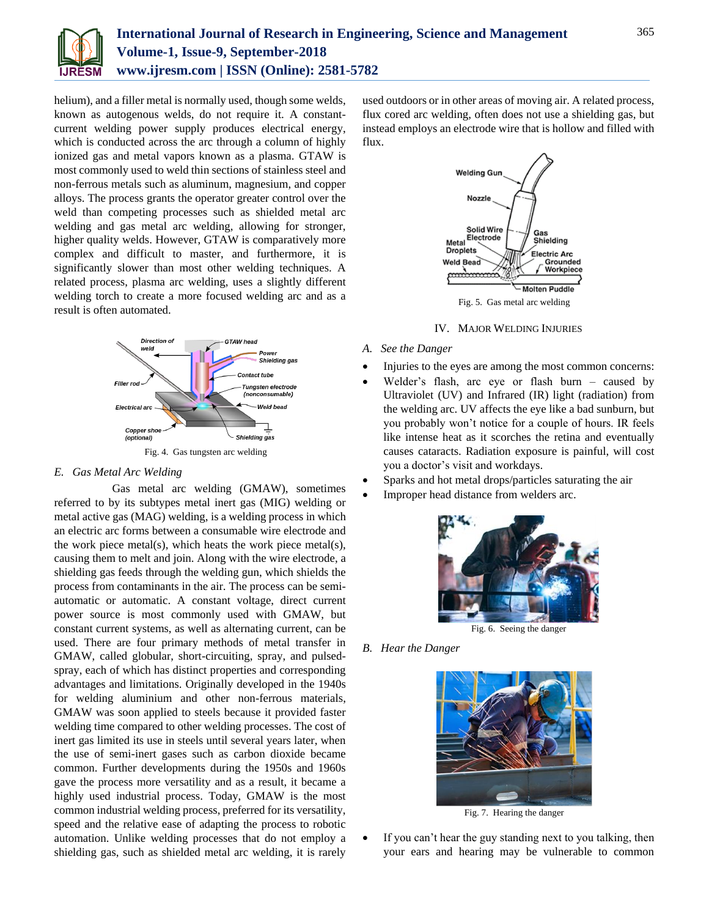

helium), and a filler metal is normally used, though some welds, known as autogenous welds, do not require it. A constantcurrent welding power supply produces electrical energy, which is conducted across the arc through a column of highly ionized gas and metal vapors known as a plasma. GTAW is most commonly used to weld thin sections of stainless steel and non-ferrous metals such as aluminum, magnesium, and copper alloys. The process grants the operator greater control over the weld than competing processes such as shielded metal arc welding and gas metal arc welding, allowing for stronger, higher quality welds. However, GTAW is comparatively more complex and difficult to master, and furthermore, it is significantly slower than most other welding techniques. A related process, plasma arc welding, uses a slightly different welding torch to create a more focused welding arc and as a result is often automated.



## *E. Gas Metal Arc Welding*

 Gas metal arc welding (GMAW), sometimes referred to by its subtypes metal inert gas (MIG) welding or metal active gas (MAG) welding, is a welding process in which an electric arc forms between a consumable wire electrode and the work piece metal(s), which heats the work piece metal(s), causing them to melt and join. Along with the wire electrode, a shielding gas feeds through the welding gun, which shields the process from contaminants in the air. The process can be semiautomatic or automatic. A constant voltage, direct current power source is most commonly used with GMAW, but constant current systems, as well as alternating current, can be used. There are four primary methods of metal transfer in GMAW, called globular, short-circuiting, spray, and pulsedspray, each of which has distinct properties and corresponding advantages and limitations. Originally developed in the 1940s for welding aluminium and other non-ferrous materials, GMAW was soon applied to steels because it provided faster welding time compared to other welding processes. The cost of inert gas limited its use in steels until several years later, when the use of semi-inert gases such as carbon dioxide became common. Further developments during the 1950s and 1960s gave the process more versatility and as a result, it became a highly used industrial process. Today, GMAW is the most common industrial welding process, preferred for its versatility, speed and the relative ease of adapting the process to robotic automation. Unlike welding processes that do not employ a shielding gas, such as shielded metal arc welding, it is rarely

used outdoors or in other areas of moving air. A related process, flux cored arc welding, often does not use a shielding gas, but instead employs an electrode wire that is hollow and filled with flux.



## IV. MAJOR WELDING INJURIES

- *A. See the Danger*
- Injuries to the eyes are among the most common concerns:
- Welder's flash, arc eye or flash burn caused by Ultraviolet (UV) and Infrared (IR) light (radiation) from the welding arc. UV affects the eye like a bad sunburn, but you probably won't notice for a couple of hours. IR feels like intense heat as it scorches the retina and eventually causes cataracts. Radiation exposure is painful, will cost you a doctor's visit and workdays.
- Sparks and hot metal drops/particles saturating the air
- Improper head distance from welders arc.



## *B. Hear the Danger*



Fig. 7. Hearing the danger

 If you can't hear the guy standing next to you talking, then your ears and hearing may be vulnerable to common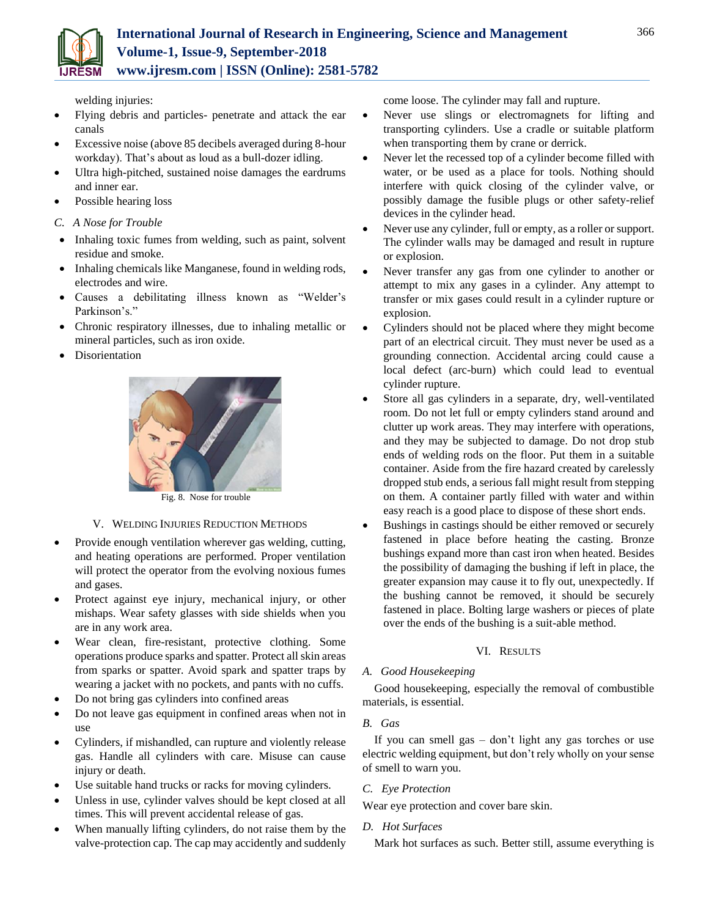welding injuries:

- Flying debris and particles- penetrate and attack the ear canals
- Excessive noise (above 85 decibels averaged during 8-hour workday). That's about as loud as a bull-dozer idling.
- Ultra high-pitched, sustained noise damages the eardrums and inner ear.
- Possible hearing loss
- *C. A Nose for Trouble*
- Inhaling toxic fumes from welding, such as paint, solvent residue and smoke.
- Inhaling chemicals like Manganese, found in welding rods, electrodes and wire.
- Causes a debilitating illness known as "Welder's Parkinson's."
- Chronic respiratory illnesses, due to inhaling metallic or mineral particles, such as iron oxide.
- Disorientation



Fig. 8. Nose for trouble

## V. WELDING INJURIES REDUCTION METHODS

- Provide enough ventilation wherever gas welding, cutting, and heating operations are performed. Proper ventilation will protect the operator from the evolving noxious fumes and gases.
- Protect against eye injury, mechanical injury, or other mishaps. Wear safety glasses with side shields when you are in any work area.
- Wear clean, fire-resistant, protective clothing. Some operations produce sparks and spatter. Protect all skin areas from sparks or spatter. Avoid spark and spatter traps by wearing a jacket with no pockets, and pants with no cuffs.
- Do not bring gas cylinders into confined areas
- Do not leave gas equipment in confined areas when not in use
- Cylinders, if mishandled, can rupture and violently release gas. Handle all cylinders with care. Misuse can cause injury or death.
- Use suitable hand trucks or racks for moving cylinders.
- Unless in use, cylinder valves should be kept closed at all times. This will prevent accidental release of gas.
- When manually lifting cylinders, do not raise them by the valve-protection cap. The cap may accidently and suddenly

come loose. The cylinder may fall and rupture.

- Never use slings or electromagnets for lifting and transporting cylinders. Use a cradle or suitable platform when transporting them by crane or derrick.
- Never let the recessed top of a cylinder become filled with water, or be used as a place for tools. Nothing should interfere with quick closing of the cylinder valve, or possibly damage the fusible plugs or other safety-relief devices in the cylinder head.
- Never use any cylinder, full or empty, as a roller or support. The cylinder walls may be damaged and result in rupture or explosion.
- Never transfer any gas from one cylinder to another or attempt to mix any gases in a cylinder. Any attempt to transfer or mix gases could result in a cylinder rupture or explosion.
- Cylinders should not be placed where they might become part of an electrical circuit. They must never be used as a grounding connection. Accidental arcing could cause a local defect (arc-burn) which could lead to eventual cylinder rupture.
- Store all gas cylinders in a separate, dry, well-ventilated room. Do not let full or empty cylinders stand around and clutter up work areas. They may interfere with operations, and they may be subjected to damage. Do not drop stub ends of welding rods on the floor. Put them in a suitable container. Aside from the fire hazard created by carelessly dropped stub ends, a serious fall might result from stepping on them. A container partly filled with water and within easy reach is a good place to dispose of these short ends.
- Bushings in castings should be either removed or securely fastened in place before heating the casting. Bronze bushings expand more than cast iron when heated. Besides the possibility of damaging the bushing if left in place, the greater expansion may cause it to fly out, unexpectedly. If the bushing cannot be removed, it should be securely fastened in place. Bolting large washers or pieces of plate over the ends of the bushing is a suit-able method.

## VI. RESULTS

## *A. Good Housekeeping*

Good housekeeping, especially the removal of combustible materials, is essential.

## *B. Gas*

If you can smell gas – don't light any gas torches or use electric welding equipment, but don't rely wholly on your sense of smell to warn you.

## *C. Eye Protection*

Wear eye protection and cover bare skin.

## *D. Hot Surfaces*

Mark hot surfaces as such. Better still, assume everything is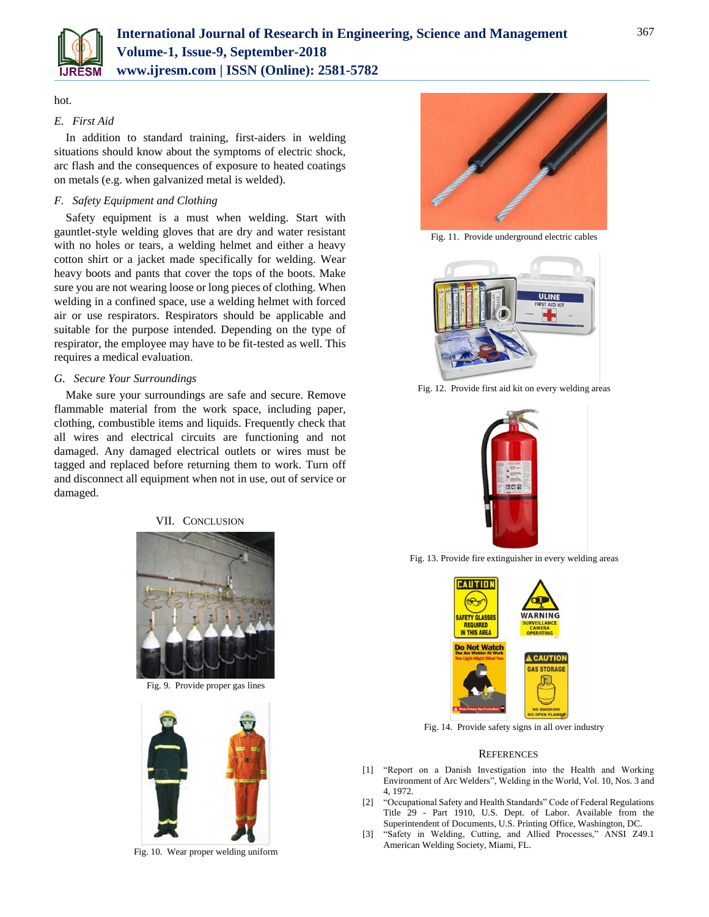

#### hot.

## *E. First Aid*

In addition to standard training, first-aiders in welding situations should know about the symptoms of electric shock, arc flash and the consequences of exposure to heated coatings on metals (e.g. when galvanized metal is welded).

## *F. Safety Equipment and Clothing*

Safety equipment is a must when welding. Start with gauntlet-style welding gloves that are dry and water resistant with no holes or tears, a welding helmet and either a heavy cotton shirt or a jacket made specifically for welding. Wear heavy boots and pants that cover the tops of the boots. Make sure you are not wearing loose or long pieces of clothing. When welding in a confined space, use a welding helmet with forced air or use respirators. Respirators should be applicable and suitable for the purpose intended. Depending on the type of respirator, the employee may have to be fit-tested as well. This requires a medical evaluation.

## *G. Secure Your Surroundings*

Make sure your surroundings are safe and secure. Remove flammable material from the work space, including paper, clothing, combustible items and liquids. Frequently check that all wires and electrical circuits are functioning and not damaged. Any damaged electrical outlets or wires must be tagged and replaced before returning them to work. Turn off and disconnect all equipment when not in use, out of service or damaged.

#### VII. CONCLUSION



Fig. 9. Provide proper gas lines



Fig. 10. Wear proper welding uniform



Fig. 11. Provide underground electric cables



Fig. 12. Provide first aid kit on every welding areas



Fig. 13. Provide fire extinguisher in every welding areas



Fig. 14. Provide safety signs in all over industry

#### **REFERENCES**

- [1] "Report on a Danish Investigation into the Health and Working Environment of Arc Welders", Welding in the World, Vol. 10, Nos. 3 and 4, 1972.
- [2] "Occupational Safety and Health Standards" Code of Federal Regulations Title 29 - Part 1910, U.S. Dept. of Labor. Available from the Superintendent of Documents, U.S. Printing Office, Washington, DC.
- [3] "Safety in Welding, Cutting, and Allied Processes," ANSI Z49.1 American Welding Society, Miami, FL.